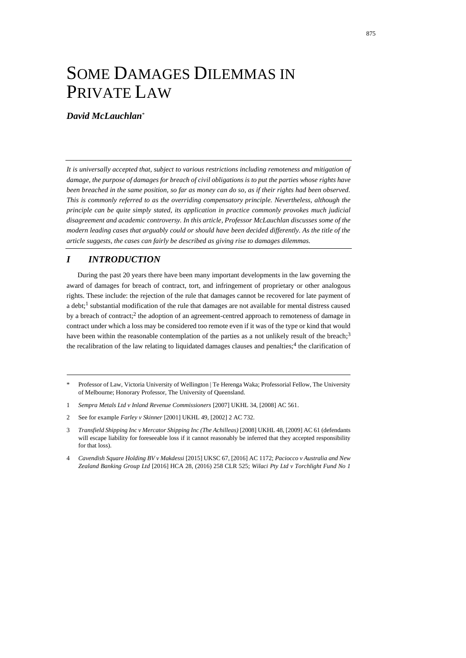# SOME DAMAGES DILEMMAS IN PRIVATE LAW

#### *David McLauchlan*\*

*It is universally accepted that, subject to various restrictions including remoteness and mitigation of damage, the purpose of damages for breach of civil obligations is to put the parties whose rights have been breached in the same position, so far as money can do so, as if their rights had been observed. This is commonly referred to as the overriding compensatory principle. Nevertheless, although the principle can be quite simply stated, its application in practice commonly provokes much judicial disagreement and academic controversy. In this article, Professor McLauchlan discusses some of the modern leading cases that arguably could or should have been decided differently. As the title of the article suggests, the cases can fairly be described as giving rise to damages dilemmas.*

## *I INTRODUCTION*

During the past 20 years there have been many important developments in the law governing the award of damages for breach of contract, tort, and infringement of proprietary or other analogous rights. These include: the rejection of the rule that damages cannot be recovered for late payment of a debt;<sup>1</sup> substantial modification of the rule that damages are not available for mental distress caused by a breach of contract;<sup>2</sup> the adoption of an agreement-centred approach to remoteness of damage in contract under which a loss may be considered too remote even if it was of the type or kind that would have been within the reasonable contemplation of the parties as a not unlikely result of the breach;<sup>3</sup> the recalibration of the law relating to liquidated damages clauses and penalties;<sup>4</sup> the clarification of

- 1 *Sempra Metals Ltd v Inland Revenue Commissioners* [2007] UKHL 34, [2008] AC 561.
- 2 See for example *Farley v Skinner* [2001] UKHL 49, [2002] 2 AC 732.

<span id="page-0-1"></span><span id="page-0-0"></span><sup>\*</sup> Professor of Law, Victoria University of Wellington | Te Herenga Waka; Professorial Fellow, The University of Melbourne; Honorary Professor, The University of Queensland.

<sup>3</sup> *Transfield Shipping Inc v Mercator Shipping Inc (The Achilleas)* [2008] UKHL 48, [2009] AC 61 (defendants will escape liability for foreseeable loss if it cannot reasonably be inferred that they accepted responsibility for that loss).

<sup>4</sup> *Cavendish Square Holding BV v Makdessi* [2015] UKSC 67, [2016] AC 1172; *Paciocco v Australia and New Zealand Banking Group Ltd* [2016] HCA 28, (2016) 258 CLR 525; *Wilaci Pty Ltd v Torchlight Fund No 1*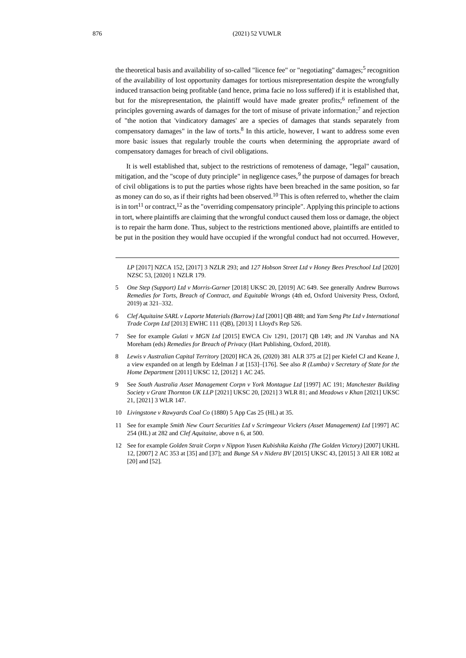<span id="page-1-1"></span><span id="page-1-0"></span>the theoretical basis and availability of so-called "licence fee" or "negotiating" damages;<sup>5</sup> recognition of the availability of lost opportunity damages for tortious misrepresentation despite the wrongfully induced transaction being profitable (and hence, prima facie no loss suffered) if it is established that, but for the misrepresentation, the plaintiff would have made greater profits;<sup>6</sup> refinement of the principles governing awards of damages for the tort of misuse of private information;<sup>7</sup> and rejection of "the notion that 'vindicatory damages' are a species of damages that stands separately from compensatory damages" in the law of torts.<sup>8</sup> In this article, however, I want to address some even more basic issues that regularly trouble the courts when determining the appropriate award of compensatory damages for breach of civil obligations.

<span id="page-1-2"></span>It is well established that, subject to the restrictions of remoteness of damage, "legal" causation, mitigation, and the "scope of duty principle" in negligence cases, <sup>9</sup> the purpose of damages for breach of civil obligations is to put the parties whose rights have been breached in the same position, so far as money can do so, as if their rights had been observed.<sup>10</sup> This is often referred to, whether the claim is in tort<sup>11</sup> or contract,<sup>12</sup> as the "overriding compensatory principle". Applying this principle to actions in tort, where plaintiffs are claiming that the wrongful conduct caused them loss or damage, the object is to repair the harm done. Thus, subject to the restrictions mentioned above, plaintiffs are entitled to be put in the position they would have occupied if the wrongful conduct had not occurred. However,

*LP* [2017] NZCA 152, [2017] 3 NZLR 293; and *127 Hobson Street Ltd v Honey Bees Preschool Ltd* [2020] NZSC 53, [2020] 1 NZLR 179.

- 5 *One Step (Support) Ltd v Morris-Garner* [2018] UKSC 20, [2019] AC 649. See generally Andrew Burrows *Remedies for Torts, Breach of Contract, and Equitable Wrongs* (4th ed, Oxford University Press, Oxford, 2019) at 321–332.
- 6 *Clef Aquitaine SARL v Laporte Materials (Barrow) Ltd* [2001] QB 488; and *Yam Seng Pte Ltd v International Trade Corpn Ltd* [2013] EWHC 111 (QB), [2013] 1 Lloyd's Rep 526.
- 7 See for example *Gulati v MGN Ltd* [2015] EWCA Civ 1291, [2017] QB 149; and JN Varuhas and NA Moreham (eds) *Remedies for Breach of Privacy* (Hart Publishing, Oxford, 2018).
- 8 *Lewis v Australian Capital Territory* [2020] HCA 26, (2020) 381 ALR 375 at [2] per Kiefel CJ and Keane J, a view expanded on at length by Edelman J at [153]–[176]. See also *R (Lumba) v Secretary of State for the Home Department* [2011] UKSC 12, [2012] 1 AC 245.
- 9 See *South Australia Asset Management Corpn v York Montague Ltd* [1997] AC 191; *Manchester Building Society v Grant Thornton UK LLP* [2021] UKSC 20, [2021] 3 WLR 81; and *Meadows v Khan* [2021] UKSC 21, [2021] 3 WLR 147.
- 10 *Livingstone v Rawyards Coal Co* (1880) 5 App Cas 25 (HL) at 35.
- 11 See for example *Smith New Court Securities Ltd v Scrimgeour Vickers (Asset Management) Ltd* [1997] AC 254 (HL) at 282 and *Clef Aquitaine*, above [n 6,](#page-1-0) at 500.
- 12 See for example *Golden Strait Corpn v Nippon Yusen Kubishika Kaisha (The Golden Victory)* [2007] UKHL 12, [2007] 2 AC 353 at [35] and [37]; and *Bunge SA v Nidera BV* [2015] UKSC 43, [2015] 3 All ER 1082 at [20] and [52].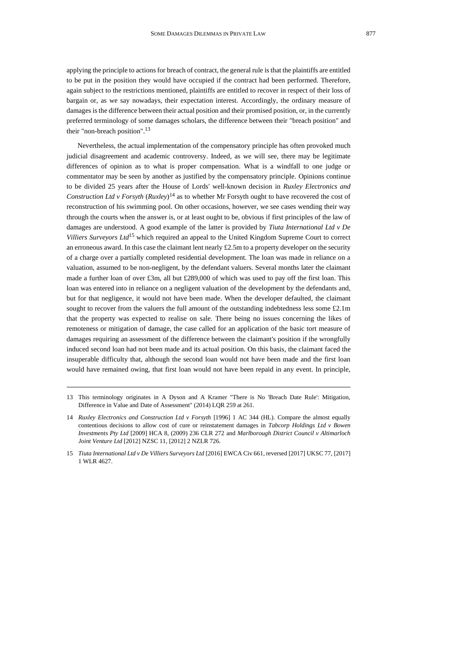applying the principle to actions for breach of contract, the general rule is that the plaintiffs are entitled to be put in the position they would have occupied if the contract had been performed. Therefore, again subject to the restrictions mentioned, plaintiffs are entitled to recover in respect of their loss of bargain or, as we say nowadays, their expectation interest. Accordingly, the ordinary measure of damages is the difference between their actual position and their promised position, or, in the currently preferred terminology of some damages scholars, the difference between their "breach position" and their "non-breach position". 13

<span id="page-2-0"></span>Nevertheless, the actual implementation of the compensatory principle has often provoked much judicial disagreement and academic controversy. Indeed, as we will see, there may be legitimate differences of opinion as to what is proper compensation. What is a windfall to one judge or commentator may be seen by another as justified by the compensatory principle. Opinions continue to be divided 25 years after the House of Lords' well-known decision in *Ruxley Electronics and Construction Ltd v Forsyth* (*Ruxley*) <sup>14</sup> as to whether Mr Forsyth ought to have recovered the cost of reconstruction of his swimming pool. On other occasions, however, we see cases wending their way through the courts when the answer is, or at least ought to be, obvious if first principles of the law of damages are understood. A good example of the latter is provided by *Tiuta International Ltd v De Villiers Surveyors Ltd*<sup>15</sup> which required an appeal to the United Kingdom Supreme Court to correct an erroneous award. In this case the claimant lent nearly £2.5m to a property developer on the security of a charge over a partially completed residential development. The loan was made in reliance on a valuation, assumed to be non-negligent, by the defendant valuers. Several months later the claimant made a further loan of over £3m, all but £289,000 of which was used to pay off the first loan. This loan was entered into in reliance on a negligent valuation of the development by the defendants and, but for that negligence, it would not have been made. When the developer defaulted, the claimant sought to recover from the valuers the full amount of the outstanding indebtedness less some £2.1m that the property was expected to realise on sale. There being no issues concerning the likes of remoteness or mitigation of damage, the case called for an application of the basic tort measure of damages requiring an assessment of the difference between the claimant's position if the wrongfully induced second loan had not been made and its actual position. On this basis, the claimant faced the insuperable difficulty that, although the second loan would not have been made and the first loan would have remained owing, that first loan would not have been repaid in any event. In principle,

<sup>13</sup> This terminology originates in A Dyson and A Kramer "There is No 'Breach Date Rule': Mitigation, Difference in Value and Date of Assessment" (2014) LQR 259 at 261.

<sup>14</sup> *Ruxley Electronics and Construction Ltd v Forsyth* [1996] 1 AC 344 (HL). Compare the almost equally contentious decisions to allow cost of cure or reinstatement damages in *Tabcorp Holdings Ltd v Bowen Investments Pty Ltd* [2009] HCA 8, (2009) 236 CLR 272 and *Marlborough District Council v Altimarloch Joint Venture Ltd* [2012] NZSC 11, [2012] 2 NZLR 726.

<sup>15</sup> *Tiuta International Ltd v De Villiers Surveyors Ltd* [2016] EWCA Civ 661, reversed [2017] UKSC 77, [2017] 1 WLR 4627.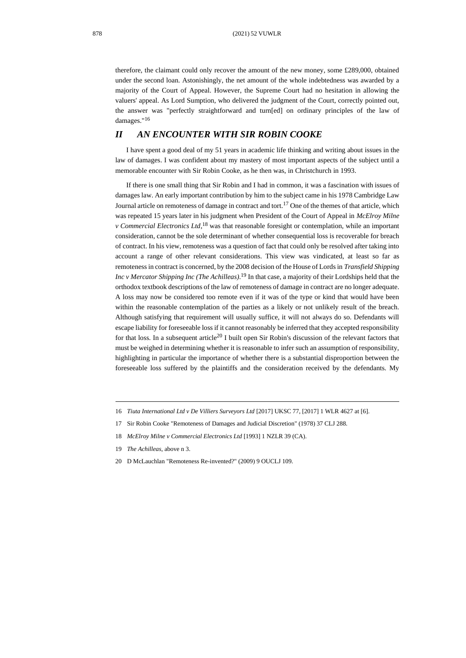therefore, the claimant could only recover the amount of the new money, some £289,000, obtained under the second loan. Astonishingly, the net amount of the whole indebtedness was awarded by a majority of the Court of Appeal. However, the Supreme Court had no hesitation in allowing the valuers' appeal. As Lord Sumption, who delivered the judgment of the Court, correctly pointed out, the answer was "perfectly straightforward and turn[ed] on ordinary principles of the law of damages."<sup>16</sup>

### *II AN ENCOUNTER WITH SIR ROBIN COOKE*

I have spent a good deal of my 51 years in academic life thinking and writing about issues in the law of damages. I was confident about my mastery of most important aspects of the subject until a memorable encounter with Sir Robin Cooke, as he then was, in Christchurch in 1993.

<span id="page-3-0"></span>If there is one small thing that Sir Robin and I had in common, it was a fascination with issues of damages law. An early important contribution by him to the subject came in his 1978 Cambridge Law Journal article on remoteness of damage in contract and tort.<sup>17</sup> One of the themes of that article, which was repeated 15 years later in his judgment when President of the Court of Appeal in *McElroy Milne v Commercial Electronics Ltd*, <sup>18</sup> was that reasonable foresight or contemplation, while an important consideration, cannot be the sole determinant of whether consequential loss is recoverable for breach of contract. In his view, remoteness was a question of fact that could only be resolved after taking into account a range of other relevant considerations. This view was vindicated, at least so far as remoteness in contract is concerned, by the 2008 decision of the House of Lords in *Transfield Shipping Inc v Mercator Shipping Inc (The Achilleas)*. <sup>19</sup> In that case, a majority of their Lordships held that the orthodox textbook descriptions of the law of remoteness of damage in contract are no longer adequate. A loss may now be considered too remote even if it was of the type or kind that would have been within the reasonable contemplation of the parties as a likely or not unlikely result of the breach. Although satisfying that requirement will usually suffice, it will not always do so. Defendants will escape liability for foreseeable loss if it cannot reasonably be inferred that they accepted responsibility for that loss. In a subsequent article<sup>20</sup> I built open Sir Robin's discussion of the relevant factors that must be weighed in determining whether it is reasonable to infer such an assumption of responsibility, highlighting in particular the importance of whether there is a substantial disproportion between the foreseeable loss suffered by the plaintiffs and the consideration received by the defendants. My

<sup>16</sup> *Tiuta International Ltd v De Villiers Surveyors Ltd* [2017] UKSC 77, [2017] 1 WLR 4627 at [6].

<sup>17</sup> Sir Robin Cooke "Remoteness of Damages and Judicial Discretion" (1978) 37 CLJ 288.

<sup>18</sup> *McElroy Milne v Commercial Electronics Ltd* [1993] 1 NZLR 39 (CA).

<sup>19</sup> *The Achilleas*, above [n 3.](#page-0-0)

<sup>20</sup> D McLauchlan "Remoteness Re-invented?" (2009) 9 OUCLJ 109.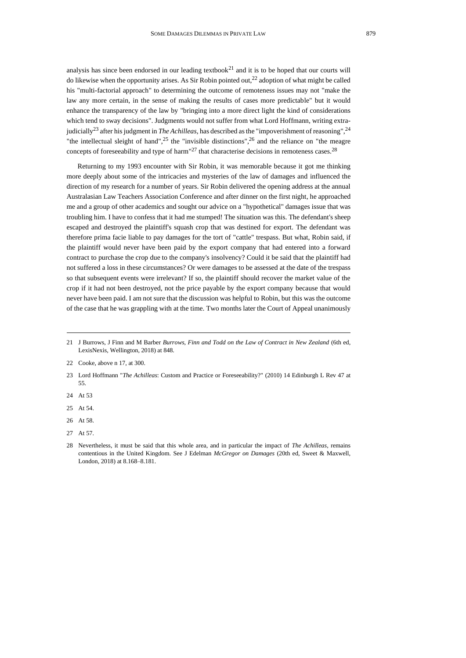analysis has since been endorsed in our leading textbook<sup>21</sup> and it is to be hoped that our courts will do likewise when the opportunity arises. As Sir Robin pointed out,<sup>22</sup> adoption of what might be called his "multi-factorial approach" to determining the outcome of remoteness issues may not "make the law any more certain, in the sense of making the results of cases more predictable" but it would enhance the transparency of the law by "bringing into a more direct light the kind of considerations which tend to sway decisions". Judgments would not suffer from what Lord Hoffmann, writing extrajudicially<sup>23</sup> after his judgment in *The Achilleas*, has described as the "impoverishment of reasoning", 24 "the intellectual sleight of hand",<sup>25</sup> the "invisible distinctions",<sup>26</sup> and the reliance on "the meagre" concepts of foreseeability and type of harm<sup>"27</sup> that characterise decisions in remoteness cases.<sup>28</sup>

Returning to my 1993 encounter with Sir Robin, it was memorable because it got me thinking more deeply about some of the intricacies and mysteries of the law of damages and influenced the direction of my research for a number of years. Sir Robin delivered the opening address at the annual Australasian Law Teachers Association Conference and after dinner on the first night, he approached me and a group of other academics and sought our advice on a "hypothetical" damages issue that was troubling him. I have to confess that it had me stumped! The situation was this. The defendant's sheep escaped and destroyed the plaintiff's squash crop that was destined for export. The defendant was therefore prima facie liable to pay damages for the tort of "cattle" trespass. But what, Robin said, if the plaintiff would never have been paid by the export company that had entered into a forward contract to purchase the crop due to the company's insolvency? Could it be said that the plaintiff had not suffered a loss in these circumstances? Or were damages to be assessed at the date of the trespass so that subsequent events were irrelevant? If so, the plaintiff should recover the market value of the crop if it had not been destroyed, not the price payable by the export company because that would never have been paid. I am not sure that the discussion was helpful to Robin, but this was the outcome of the case that he was grappling with at the time. Two months later the Court of Appeal unanimously

- 24 At 53
- 25 At 54.
- 26 At 58.

<sup>21</sup> J Burrows, J Finn and M Barber *Burrows, Finn and Todd on the Law of Contract in New Zealand* (6th ed, LexisNexis, Wellington, 2018) at 848.

<sup>22</sup> Cooke, above [n 17,](#page-3-0) at 300.

<sup>23</sup> Lord Hoffmann "*The Achilleas*: Custom and Practice or Foreseeability?" (2010) 14 Edinburgh L Rev 47 at 55.

<sup>27</sup> At 57.

<sup>28</sup> Nevertheless, it must be said that this whole area, and in particular the impact of *The Achilleas*, remains contentious in the United Kingdom. See J Edelman *McGregor on Damages* (20th ed, Sweet & Maxwell, London, 2018) at 8.168–8.181.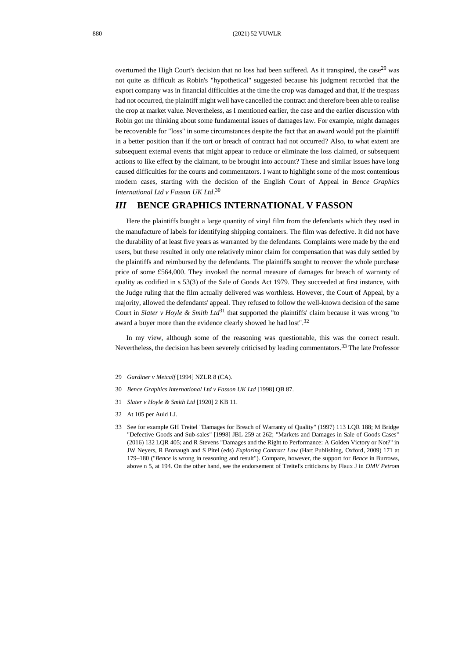overturned the High Court's decision that no loss had been suffered. As it transpired, the case<sup>29</sup> was not quite as difficult as Robin's "hypothetical" suggested because his judgment recorded that the export company was in financial difficulties at the time the crop was damaged and that, if the trespass had not occurred, the plaintiff might well have cancelled the contract and therefore been able to realise the crop at market value. Nevertheless, as I mentioned earlier, the case and the earlier discussion with Robin got me thinking about some fundamental issues of damages law. For example, might damages be recoverable for "loss" in some circumstances despite the fact that an award would put the plaintiff in a better position than if the tort or breach of contract had not occurred? Also, to what extent are subsequent external events that might appear to reduce or eliminate the loss claimed, or subsequent actions to like effect by the claimant, to be brought into account? These and similar issues have long caused difficulties for the courts and commentators. I want to highlight some of the most contentious modern cases, starting with the decision of the English Court of Appeal in *Bence Graphics International Ltd v Fasson UK Ltd*. 30

#### *III* **BENCE GRAPHICS INTERNATIONAL V FASSON**

Here the plaintiffs bought a large quantity of vinyl film from the defendants which they used in the manufacture of labels for identifying shipping containers. The film was defective. It did not have the durability of at least five years as warranted by the defendants. Complaints were made by the end users, but these resulted in only one relatively minor claim for compensation that was duly settled by the plaintiffs and reimbursed by the defendants. The plaintiffs sought to recover the whole purchase price of some £564,000. They invoked the normal measure of damages for breach of warranty of quality as codified in s 53(3) of the Sale of Goods Act 1979. They succeeded at first instance, with the Judge ruling that the film actually delivered was worthless. However, the Court of Appeal, by a majority, allowed the defendants' appeal. They refused to follow the well-known decision of the same Court in *Slater v Hoyle & Smith Ltd*<sup>31</sup> that supported the plaintiffs' claim because it was wrong "to award a buyer more than the evidence clearly showed he had lost".<sup>32</sup>

<span id="page-5-0"></span>In my view, although some of the reasoning was questionable, this was the correct result. Nevertheless, the decision has been severely criticised by leading commentators.<sup>33</sup> The late Professor

<sup>29</sup> *Gardiner v Metcalf* [1994] NZLR 8 (CA).

<sup>30</sup> *Bence Graphics International Ltd v Fasson UK Ltd* [1998] QB 87.

<sup>31</sup> *Slater v Hoyle & Smith Ltd* [1920] 2 KB 11.

<sup>32</sup> At 105 per Auld LJ.

<sup>33</sup> See for example GH Treitel "Damages for Breach of Warranty of Quality" (1997) 113 LQR 188; M Bridge "Defective Goods and Sub-sales" [1998] JBL 259 at 262; "Markets and Damages in Sale of Goods Cases" (2016) 132 LQR 405; and R Stevens "Damages and the Right to Performance: A Golden Victory or Not?" in JW Neyers, R Bronaugh and S Pitel (eds) *Exploring Contract Law* (Hart Publishing, Oxford, 2009) 171 at 179–180 ("*Bence* is wrong in reasoning and result"). Compare, however, the support for *Bence* in Burrows, above n [5,](#page-1-1) at 194. On the other hand, see the endorsement of Treitel's criticisms by Flaux J in *[OMV Petrom](https://www.bailii.org/cgi-bin/format.cgi?doc=/ew/cases/EWHC/Comm/2015/666.html&query=(OMV)+AND+(Petrom))*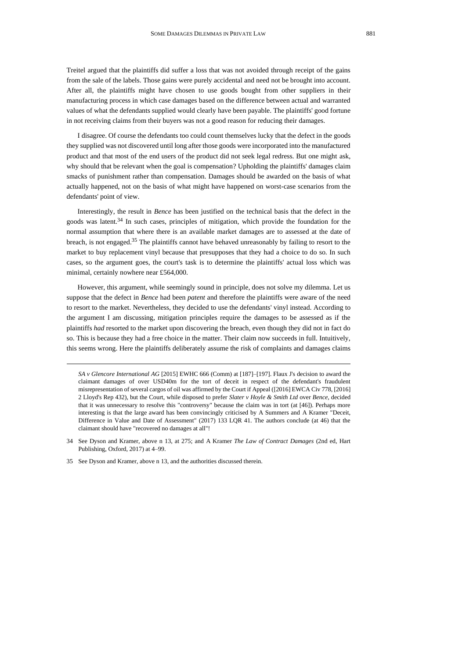Treitel argued that the plaintiffs did suffer a loss that was not avoided through receipt of the gains from the sale of the labels. Those gains were purely accidental and need not be brought into account. After all, the plaintiffs might have chosen to use goods bought from other suppliers in their manufacturing process in which case damages based on the difference between actual and warranted values of what the defendants supplied would clearly have been payable. The plaintiffs' good fortune in not receiving claims from their buyers was not a good reason for reducing their damages.

I disagree. Of course the defendants too could count themselves lucky that the defect in the goods they supplied was not discovered until long after those goods were incorporated into the manufactured product and that most of the end users of the product did not seek legal redress. But one might ask, why should that be relevant when the goal is compensation? Upholding the plaintiffs' damages claim smacks of punishment rather than compensation. Damages should be awarded on the basis of what actually happened, not on the basis of what might have happened on worst-case scenarios from the defendants' point of view.

Interestingly, the result in *Bence* has been justified on the technical basis that the defect in the goods was latent.<sup>34</sup> In such cases, principles of mitigation, which provide the foundation for the normal assumption that where there is an available market damages are to assessed at the date of breach, is not engaged.<sup>35</sup> The plaintiffs cannot have behaved unreasonably by failing to resort to the market to buy replacement vinyl because that presupposes that they had a choice to do so. In such cases, so the argument goes, the court's task is to determine the plaintiffs' actual loss which was minimal, certainly nowhere near £564,000.

However, this argument, while seemingly sound in principle, does not solve my dilemma. Let us suppose that the defect in *Bence* had been *patent* and therefore the plaintiffs were aware of the need to resort to the market. Nevertheless, they decided to use the defendants' vinyl instead. According to the argument I am discussing, mitigation principles require the damages to be assessed as if the plaintiffs *had* resorted to the market upon discovering the breach, even though they did not in fact do so. This is because they had a free choice in the matter. Their claim now succeeds in full. Intuitively, this seems wrong. Here the plaintiffs deliberately assume the risk of complaints and damages claims

*[SA v Glencore International AG](https://www.bailii.org/cgi-bin/format.cgi?doc=/ew/cases/EWHC/Comm/2015/666.html&query=(OMV)+AND+(Petrom))* [2015] EWHC 666 (Comm) at [187]–[197]. Flaux J's decision to award the claimant damages of over USD40m for the tort of deceit in respect of the defendant's fraudulent misrepresentation of several cargos of oil was affirmed by the Court if Appeal ([2016] EWCA Civ 778, [2016] 2 Lloyd's Rep 432), but the Court, while disposed to prefer *Slater v Hoyle & Smith Ltd* over *Bence*, decided that it was unnecessary to resolve this "controversy" because the claim was in tort (at [46]). Perhaps more interesting is that the large award has been convincingly criticised by A Summers and A Kramer "Deceit, Difference in Value and Date of Assessment" (2017) 133 LQR 41. The authors conclude (at 46) that the claimant should have "recovered no damages at all"!

<sup>34</sup> See Dyson and Kramer, above n [13,](#page-2-0) at 275; and A Kramer *The Law of Contract Damages* (2nd ed, Hart Publishing, Oxford, 2017) at 4–99.

<sup>35</sup> See Dyson and Kramer, above [n 13,](#page-2-0) and the authorities discussed therein.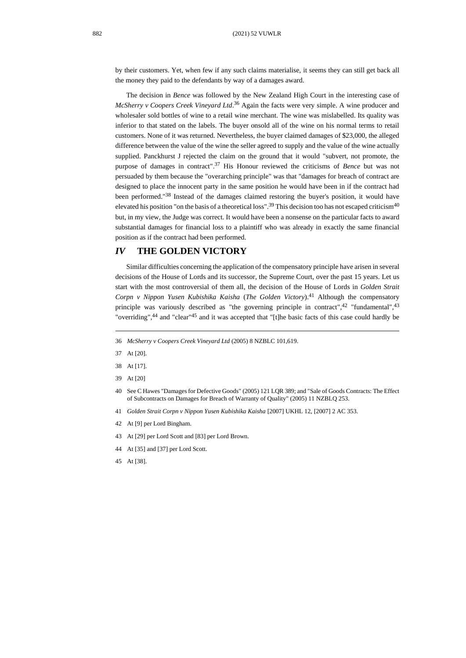by their customers. Yet, when few if any such claims materialise, it seems they can still get back all the money they paid to the defendants by way of a damages award.

The decision in *Bence* was followed by the New Zealand High Court in the interesting case of *McSherry v Coopers Creek Vineyard Ltd*. <sup>36</sup> Again the facts were very simple. A wine producer and wholesaler sold bottles of wine to a retail wine merchant. The wine was mislabelled. Its quality was inferior to that stated on the labels. The buyer onsold all of the wine on his normal terms to retail customers. None of it was returned. Nevertheless, the buyer claimed damages of \$23,000, the alleged difference between the value of the wine the seller agreed to supply and the value of the wine actually supplied. Panckhurst J rejected the claim on the ground that it would "subvert, not promote, the purpose of damages in contract". <sup>37</sup> His Honour reviewed the criticisms of *Bence* but was not persuaded by them because the "overarching principle" was that "damages for breach of contract are designed to place the innocent party in the same position he would have been in if the contract had been performed."<sup>38</sup> Instead of the damages claimed restoring the buyer's position, it would have elevated his position "on the basis of a theoretical loss".<sup>39</sup> This decision too has not escaped criticism<sup>40</sup> but, in my view, the Judge was correct. It would have been a nonsense on the particular facts to award substantial damages for financial loss to a plaintiff who was already in exactly the same financial position as if the contract had been performed.

### *IV* **THE GOLDEN VICTORY**

<span id="page-7-0"></span>Similar difficulties concerning the application of the compensatory principle have arisen in several decisions of the House of Lords and its successor, the Supreme Court, over the past 15 years. Let us start with the most controversial of them all, the decision of the House of Lords in *Golden Strait Corpn v Nippon Yusen Kubishika Kaisha* (*The Golden Victory*). <sup>41</sup> Although the compensatory principle was variously described as "the governing principle in contract", $42$  "fundamental", $43$ "overriding",<sup>44</sup> and "clear"<sup>45</sup> and it was accepted that "[t]he basic facts of this case could hardly be

- 40 See C Hawes "Damages for Defective Goods" (2005) 121 LQR 389; and "Sale of Goods Contracts: The Effect of Subcontracts on Damages for Breach of Warranty of Quality" (2005) 11 NZBLQ 253.
- 41 *Golden Strait Corpn v Nippon Yusen Kubishika Kaisha* [2007] UKHL 12[, \[2007\] 2 AC 353.](https://www-iclr-co-uk.helicon.vuw.ac.nz/document/2001001001/casereport_69352/html)
- 42 At [9] per Lord Bingham.
- 43 At [29] per Lord Scott and [83] per Lord Brown.
- 44 At [35] and [37] per Lord Scott.
- 45 At [38].

<sup>36</sup> *McSherry v Coopers Creek Vineyard Ltd* (2005) 8 NZBLC 101,619.

<sup>37</sup> At [20].

<sup>38</sup> At [17].

<sup>39</sup> At [20]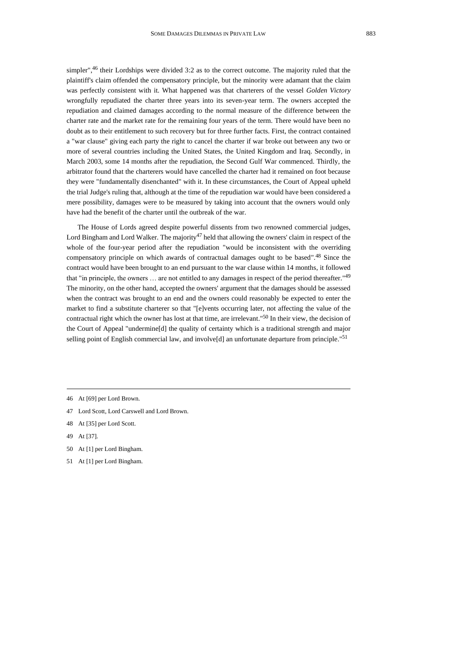simpler",<sup>46</sup> their Lordships were divided 3:2 as to the correct outcome. The majority ruled that the plaintiff's claim offended the compensatory principle, but the minority were adamant that the claim was perfectly consistent with it. What happened was that charterers of the vessel *Golden Victory* wrongfully repudiated the charter three years into its seven-year term. The owners accepted the repudiation and claimed damages according to the normal measure of the difference between the charter rate and the market rate for the remaining four years of the term. There would have been no doubt as to their entitlement to such recovery but for three further facts. First, the contract contained a "war clause" giving each party the right to cancel the charter if war broke out between any two or more of several countries including the United States, the United Kingdom and Iraq. Secondly, in March 2003, some 14 months after the repudiation, the Second Gulf War commenced. Thirdly, the arbitrator found that the charterers would have cancelled the charter had it remained on foot because they were "fundamentally disenchanted" with it. In these circumstances, the Court of Appeal upheld the trial Judge's ruling that, although at the time of the repudiation war would have been considered a mere possibility, damages were to be measured by taking into account that the owners would only have had the benefit of the charter until the outbreak of the war.

The House of Lords agreed despite powerful dissents from two renowned commercial judges, Lord Bingham and Lord Walker. The majority<sup>47</sup> held that allowing the owners' claim in respect of the whole of the four-year period after the repudiation "would be inconsistent with the overriding compensatory principle on which awards of contractual damages ought to be based". <sup>48</sup> Since the contract would have been brought to an end pursuant to the war clause within 14 months, it followed that "in principle, the owners ... are not entitled to any damages in respect of the period thereafter."<sup>49</sup> The minority, on the other hand, accepted the owners' argument that the damages should be assessed when the contract was brought to an end and the owners could reasonably be expected to enter the market to find a substitute charterer so that "[e]vents occurring later, not affecting the value of the contractual right which the owner has lost at that time, are irrelevant." <sup>50</sup> In their view, the decision of the Court of Appeal "undermine[d] the quality of certainty which is a traditional strength and major selling point of English commercial law, and involve[d] an unfortunate departure from principle."<sup>51</sup>

- 47 Lord Scott, Lord Carswell and Lord Brown.
- 48 At [35] per Lord Scott.
- 49 At [37].
- 50 At [1] per Lord Bingham.
- 51 At [1] per Lord Bingham.

<sup>46</sup> At [69] per Lord Brown.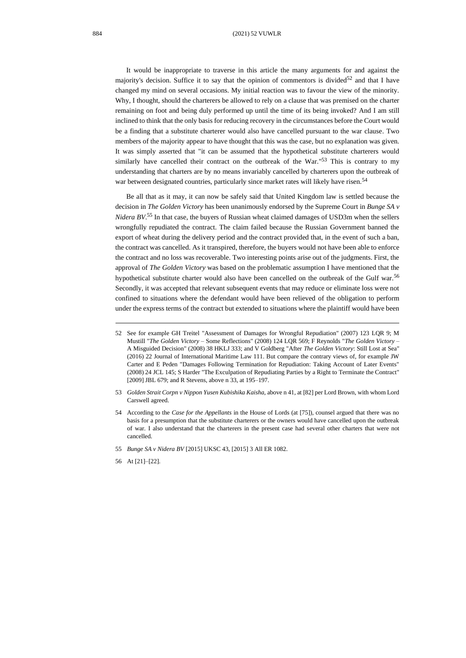It would be inappropriate to traverse in this article the many arguments for and against the majority's decision. Suffice it to say that the opinion of commentors is divided<sup>52</sup> and that I have changed my mind on several occasions. My initial reaction was to favour the view of the minority. Why, I thought, should the charterers be allowed to rely on a clause that was premised on the charter remaining on foot and being duly performed up until the time of its being invoked? And I am still inclined to think that the only basis for reducing recovery in the circumstances before the Court would be a finding that a substitute charterer would also have cancelled pursuant to the war clause. Two members of the majority appear to have thought that this was the case, but no explanation was given. It was simply asserted that "it can be assumed that the hypothetical substitute charterers would similarly have cancelled their contract on the outbreak of the War."<sup>53</sup> This is contrary to my understanding that charters are by no means invariably cancelled by charterers upon the outbreak of war between designated countries, particularly since market rates will likely have risen.<sup>54</sup>

Be all that as it may, it can now be safely said that United Kingdom law is settled because the decision in *The Golden Victory* has been unanimously endorsed by the Supreme Court in *Bunge SA v Nidera BV*. <sup>55</sup> In that case, the buyers of Russian wheat claimed damages of USD3m when the sellers wrongfully repudiated the contract. The claim failed because the Russian Government banned the export of wheat during the delivery period and the contract provided that, in the event of such a ban, the contract was cancelled. As it transpired, therefore, the buyers would not have been able to enforce the contract and no loss was recoverable. Two interesting points arise out of the judgments. First, the approval of *The Golden Victory* was based on the problematic assumption I have mentioned that the hypothetical substitute charter would also have been cancelled on the outbreak of the Gulf war.<sup>56</sup> Secondly, it was accepted that relevant subsequent events that may reduce or eliminate loss were not confined to situations where the defendant would have been relieved of the obligation to perform under the express terms of the contract but extended to situations where the plaintiff would have been

- 55 *Bunge SA v Nidera BV* [2015] UKSC 43, [2015] 3 All ER 1082.
- 56 At [21]–[22].

<sup>52</sup> See for example GH Treitel "Assessment of Damages for Wrongful Repudiation" (2007) 123 LQR 9; M Mustill "*The Golden Victory* – Some Reflections" (2008) 124 LQR 569; F Reynolds "*The Golden Victory* – A Misguided Decision" (2008) 38 HKLJ 333; and V Goldberg "After *The Golden Victory*: Still Lost at Sea" (2016) 22 Journal of International Maritime Law 111. But compare the contrary views of, for example JW Carter and E Peden "Damages Following Termination for Repudiation: Taking Account of Later Events" (2008) 24 JCL 145; S Harder "The Exculpation of Repudiating Parties by a Right to Terminate the Contract" [2009] JBL 679; and R Stevens, above [n 33,](#page-5-0) at 195–197.

<sup>53</sup> *Golden Strait Corpn v Nippon Yusen Kubishika Kaisha*, above [n 41,](#page-7-0) at [82] per Lord Brown, with whom Lord Carswell agreed.

<sup>54</sup> According to the *Case for the Appellants* in the House of Lords (at [75]), counsel argued that there was no basis for a presumption that the substitute charterers or the owners would have cancelled upon the outbreak of war. I also understand that the charterers in the present case had several other charters that were not cancelled.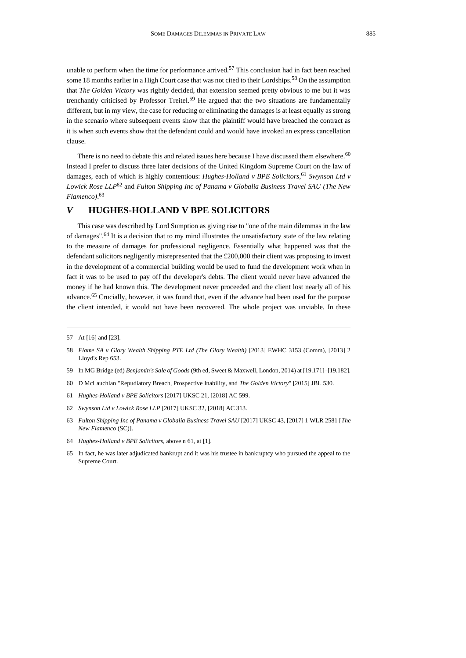unable to perform when the time for performance arrived.<sup>57</sup> This conclusion had in fact been reached some 18 months earlier in a High Court case that was not cited to their Lordships.<sup>58</sup> On the assumption that *The Golden Victory* was rightly decided, that extension seemed pretty obvious to me but it was trenchantly criticised by Professor Treitel.<sup>59</sup> He argued that the two situations are fundamentally different, but in my view, the case for reducing or eliminating the damages is at least equally as strong in the scenario where subsequent events show that the plaintiff would have breached the contract as it is when such events show that the defendant could and would have invoked an express cancellation clause.

<span id="page-10-0"></span>There is no need to debate this and related issues here because I have discussed them elsewhere.<sup>60</sup> Instead I prefer to discuss three later decisions of the United Kingdom Supreme Court on the law of damages, each of which is highly contentious: *Hughes-Holland v BPE Solicitors*, <sup>61</sup> *Swynson Ltd v Lowick Rose LLP*<sup>62</sup> and *Fulton Shipping Inc of Panama v Globalia Business Travel SAU (The New Flamenco)*. 63

## <span id="page-10-2"></span><span id="page-10-1"></span>*V* **HUGHES-HOLLAND V BPE SOLICITORS**

This case was described by Lord Sumption as giving rise to "one of the main dilemmas in the law of damages".<sup>64</sup> It is a decision that to my mind illustrates the unsatisfactory state of the law relating to the measure of damages for professional negligence. Essentially what happened was that the defendant solicitors negligently misrepresented that the £200,000 their client was proposing to invest in the development of a commercial building would be used to fund the development work when in fact it was to be used to pay off the developer's debts. The client would never have advanced the money if he had known this. The development never proceeded and the client lost nearly all of his advance.<sup>65</sup> Crucially, however, it was found that, even if the advance had been used for the purpose the client intended, it would not have been recovered. The whole project was unviable. In these

- 59 In MG Bridge (ed) *Benjamin's Sale of Goods* (9th ed, Sweet & Maxwell, London, 2014) at [19.171]–[19.182].
- 60 D McLauchlan "Repudiatory Breach, Prospective Inability, and *The Golden Victory*" [2015] JBL 530.
- 61 *Hughes-Holland v BPE Solicitors* [2017] UKSC 21, [2018] AC 599.
- 62 *Swynson Ltd v Lowick Rose LLP* [2017] UKSC 32[, \[2018\] AC 313.](https://www-iclr-co-uk.helicon.vuw.ac.nz/document/2011208961/casereport_f8e25c4f-8bd0-4d73-be59-685dcea003b0/html)
- 63 *Fulton Shipping Inc of Panama v Globalia Business Travel SAU* [2017] UKSC 43, [2017] 1 WLR 2581 [*The New Flamenco* (SC)].
- 64 *Hughes-Holland v BPE Solicitors*, above [n 61,](#page-10-0) at [1].
- 65 In fact, he was later adjudicated bankrupt and it was his trustee in bankruptcy who pursued the appeal to the Supreme Court.

<sup>57</sup> At [16] and [23].

<sup>58</sup> *Flame SA v Glory Wealth Shipping PTE Ltd (The Glory Wealth)* [2013] EWHC 3153 (Comm), [2013] 2 Lloyd's Rep 653.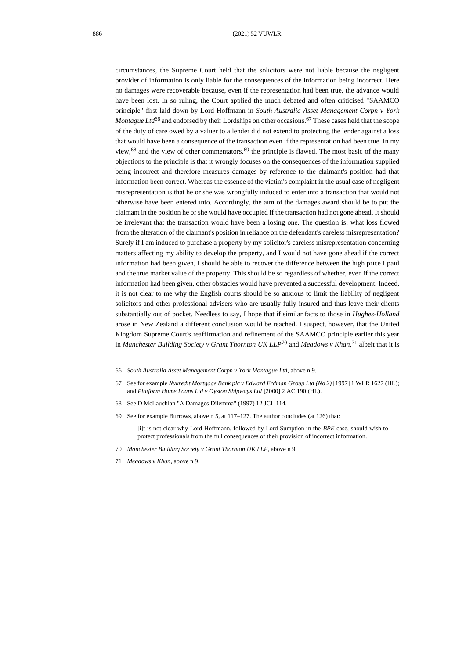circumstances, the Supreme Court held that the solicitors were not liable because the negligent provider of information is only liable for the consequences of the information being incorrect. Here no damages were recoverable because, even if the representation had been true, the advance would have been lost. In so ruling, the Court applied the much debated and often criticised "SAAMCO principle" first laid down by Lord Hoffmann in *South Australia Asset Management Corpn v York Montague Ltd*<sup>66</sup> and endorsed by their Lordships on other occasions.<sup>67</sup> These cases held that the scope of the duty of care owed by a valuer to a lender did not extend to protecting the lender against a loss that would have been a consequence of the transaction even if the representation had been true. In my view,<sup>68</sup> and the view of other commentators,<sup>69</sup> the principle is flawed. The most basic of the many objections to the principle is that it wrongly focuses on the consequences of the information supplied being incorrect and therefore measures damages by reference to the claimant's position had that information been correct. Whereas the essence of the victim's complaint in the usual case of negligent misrepresentation is that he or she was wrongfully induced to enter into a transaction that would not otherwise have been entered into. Accordingly, the aim of the damages award should be to put the claimant in the position he or she would have occupied if the transaction had not gone ahead. It should be irrelevant that the transaction would have been a losing one. The question is: what loss flowed from the alteration of the claimant's position in reliance on the defendant's careless misrepresentation? Surely if I am induced to purchase a property by my solicitor's careless misrepresentation concerning matters affecting my ability to develop the property, and I would not have gone ahead if the correct information had been given, I should be able to recover the difference between the high price I paid and the true market value of the property. This should be so regardless of whether, even if the correct information had been given, other obstacles would have prevented a successful development. Indeed, it is not clear to me why the English courts should be so anxious to limit the liability of negligent solicitors and other professional advisers who are usually fully insured and thus leave their clients substantially out of pocket. Needless to say, I hope that if similar facts to those in *Hughes-Holland*  arose in New Zealand a different conclusion would be reached. I suspect, however, that the United Kingdom Supreme Court's reaffirmation and refinement of the SAAMCO principle earlier this year in *Manchester Building Society v Grant Thornton UK LLP*<sup>70</sup> and *Meadows v Khan*, <sup>71</sup> albeit that it is

66 *South Australia Asset Management Corpn v York Montague Ltd*, above [n 9.](#page-1-2)

- 68 See D McLauchlan "A Damages Dilemma" (1997) 12 JCL 114.
- 69 See for example Burrows, above n [5,](#page-1-1) at 117–127. The author concludes (at 126) that:

[i]t is not clear why Lord Hoffmann, followed by Lord Sumption in the *BPE* case, should wish to protect professionals from the full consequences of their provision of incorrect information.

- 70 *Manchester Building Society v Grant Thornton UK LLP*, above [n 9.](#page-1-2)
- 71 *Meadows v Khan*, above [n 9.](#page-1-2)

<sup>67</sup> See for example *Nykredit Mortgage Bank plc v Edward Erdman Group Ltd (No 2)* [1997] 1 WLR 1627 (HL); and *Platform Home Loans Ltd v Oyston Shipways Ltd* [2000] 2 AC 190 (HL).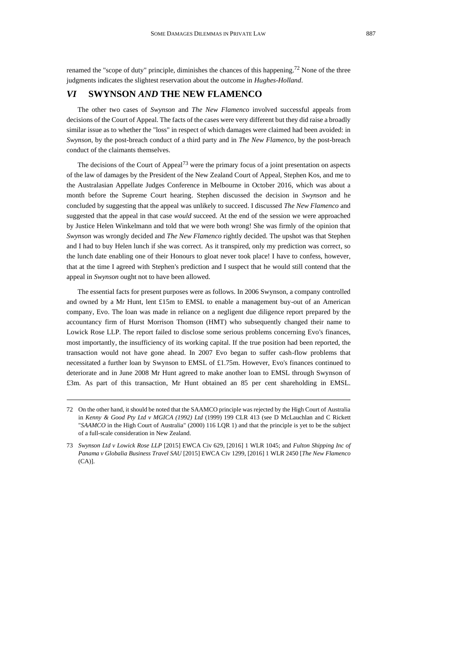renamed the "scope of duty" principle, diminishes the chances of this happening.<sup>72</sup> None of the three judgments indicates the slightest reservation about the outcome in *Hughes-Holland*.

#### *VI* **SWYNSON** *AND* **THE NEW FLAMENCO**

The other two cases of *Swynson* and *The New Flamenco* involved successful appeals from decisions of the Court of Appeal. The facts of the cases were very different but they did raise a broadly similar issue as to whether the "loss" in respect of which damages were claimed had been avoided: in *Swynson*, by the post-breach conduct of a third party and in *The New Flamenco*, by the post-breach conduct of the claimants themselves.

<span id="page-12-0"></span>The decisions of the Court of Appeal<sup>73</sup> were the primary focus of a joint presentation on aspects of the law of damages by the President of the New Zealand Court of Appeal, Stephen Kos, and me to the Australasian Appellate Judges Conference in Melbourne in October 2016, which was about a month before the Supreme Court hearing. Stephen discussed the decision in *Swynson* and he concluded by suggesting that the appeal was unlikely to succeed. I discussed *The New Flamenco* and suggested that the appeal in that case *would* succeed. At the end of the session we were approached by Justice Helen Winkelmann and told that we were both wrong! She was firmly of the opinion that *Swynson* was wrongly decided and *The New Flamenco* rightly decided. The upshot was that Stephen and I had to buy Helen lunch if she was correct. As it transpired, only my prediction was correct, so the lunch date enabling one of their Honours to gloat never took place! I have to confess, however, that at the time I agreed with Stephen's prediction and I suspect that he would still contend that the appeal in *Swynson* ought not to have been allowed.

The essential facts for present purposes were as follows. In 2006 Swynson, a company controlled and owned by a Mr Hunt, lent £15m to EMSL to enable a management buy-out of an American company, Evo. The loan was made in reliance on a negligent due diligence report prepared by the accountancy firm of Hurst Morrison Thomson (HMT) who subsequently changed their name to Lowick Rose LLP. The report failed to disclose some serious problems concerning Evo's finances, most importantly, the insufficiency of its working capital. If the true position had been reported, the transaction would not have gone ahead. In 2007 Evo began to suffer cash-flow problems that necessitated a further loan by Swynson to EMSL of £1.75m. However, Evo's finances continued to deteriorate and in June 2008 Mr Hunt agreed to make another loan to EMSL through Swynson of £3m. As part of this transaction, Mr Hunt obtained an 85 per cent shareholding in EMSL.

<sup>72</sup> On the other hand, it should be noted that the SAAMCO principle was rejected by the High Court of Australia in *Kenny & Good Pty Ltd v MGICA (1992) Ltd* (1999) 199 CLR 413 (see D McLauchlan and C Rickett "*SAAMCO* in the High Court of Australia" (2000) 116 LQR 1) and that the principle is yet to be the subject of a full-scale consideration in New Zealand.

<sup>73</sup> *Swynson Ltd v Lowick Rose LLP* [2015] EWCA Civ 629, [2016] 1 WLR 1045; and *Fulton Shipping Inc of Panama v Globalia Business Travel SAU* [2015] EWCA Civ 1299, [2016] 1 WLR 2450 [*The New Flamenco*   $(CA)$ ].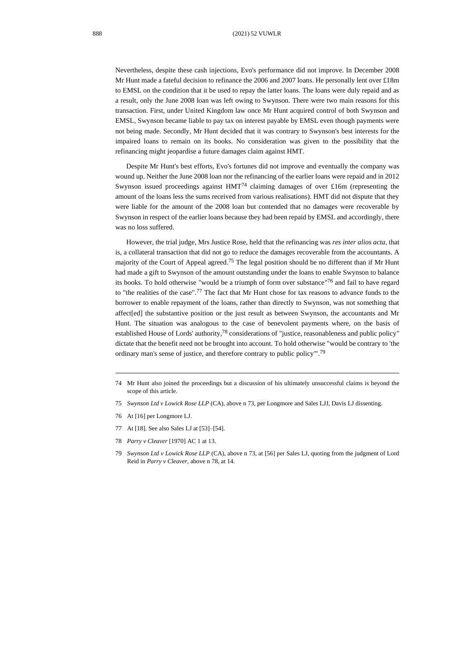Nevertheless, despite these cash injections, Evo's performance did not improve. In December 2008 Mr Hunt made a fateful decision to refinance the 2006 and 2007 loans. He personally lent over £18m to EMSL on the condition that it be used to repay the latter loans. The loans were duly repaid and as a result, only the June 2008 loan was left owing to Swynson. There were two main reasons for this transaction. First, under United Kingdom law once Mr Hunt acquired control of both Swynson and EMSL, Swynson became liable to pay tax on interest payable by EMSL even though payments were not being made. Secondly, Mr Hunt decided that it was contrary to Swynson's best interests for the impaired loans to remain on its books. No consideration was given to the possibility that the refinancing might jeopardise a future damages claim against HMT.

Despite Mr Hunt's best efforts, Evo's fortunes did not improve and eventually the company was wound up. Neither the June 2008 loan nor the refinancing of the earlier loans were repaid and in 2012 Swynson issued proceedings against  $HMT<sup>74</sup>$  claiming damages of over £16m (representing the amount of the loans less the sums received from various realisations). HMT did not dispute that they were liable for the amount of the 2008 loan but contended that no damages were recoverable by Swynson in respect of the earlier loans because they had been repaid by EMSL and accordingly, there was no loss suffered.

However, the trial judge, Mrs Justice Rose, held that the refinancing was *res inter alios acta*, that is, a collateral transaction that did not go to reduce the damages recoverable from the accountants. A majority of the Court of Appeal agreed.<sup>75</sup> The legal position should be no different than if Mr Hunt had made a gift to Swynson of the amount outstanding under the loans to enable Swynson to balance its books. To hold otherwise "would be a triumph of form over substance"<sup>76</sup> and fail to have regard to "the realities of the case". <sup>77</sup> The fact that Mr Hunt chose for tax reasons to advance funds to the borrower to enable repayment of the loans, rather than directly to Swynson, was not something that affect[ed] the substantive position or the just result as between Swynson, the accountants and Mr Hunt. The situation was analogous to the case of benevolent payments where, on the basis of established House of Lords' authority,<sup>78</sup> considerations of "justice, reasonableness and public policy" dictate that the benefit need not be brought into account. To hold otherwise "would be contrary to 'the ordinary man's sense of justice, and therefore contrary to public policy"<sup>79</sup>

- 75 *Swynson Ltd v Lowick Rose LLP* (CA), above [n 73,](#page-12-0) per Longmore and Sales LJJ, Davis LJ dissenting.
- 76 At [16] per Longmore LJ.
- 77 At [18]. See also Sales LJ at [53]–[54].
- 78 *Parry v Cleaver* [1970] AC 1 at 13.
- 79 *Swynson Ltd v Lowick Rose LLP* (CA), above n [73,](#page-12-0) at [56] per Sales LJ, quoting from the judgment of Lord Reid in *Parry v Cleaver*, above [n 78,](#page-13-0) at 14.

<span id="page-13-0"></span><sup>74</sup> Mr Hunt also joined the proceedings but a discussion of his ultimately unsuccessful claims is beyond the scope of this article.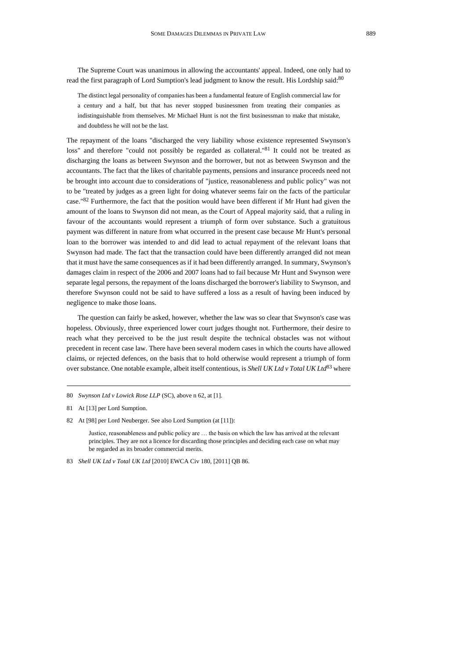The Supreme Court was unanimous in allowing the accountants' appeal. Indeed, one only had to read the first paragraph of Lord Sumption's lead judgment to know the result. His Lordship said:<sup>80</sup>

The distinct legal personality of companies has been a fundamental feature of English commercial law for a century and a half, but that has never stopped businessmen from treating their companies as indistinguishable from themselves. Mr Michael Hunt is not the first businessman to make that mistake, and doubtless he will not be the last.

The repayment of the loans "discharged the very liability whose existence represented Swynson's loss" and therefore "could not possibly be regarded as collateral."<sup>81</sup> It could not be treated as discharging the loans as between Swynson and the borrower, but not as between Swynson and the accountants. The fact that the likes of charitable payments, pensions and insurance proceeds need not be brought into account due to considerations of "justice, reasonableness and public policy" was not to be "treated by judges as a green light for doing whatever seems fair on the facts of the particular case."82 Furthermore, the fact that the position would have been different if Mr Hunt had given the amount of the loans to Swynson did not mean, as the Court of Appeal majority said, that a ruling in favour of the accountants would represent a triumph of form over substance. Such a gratuitous payment was different in nature from what occurred in the present case because Mr Hunt's personal loan to the borrower was intended to and did lead to actual repayment of the relevant loans that Swynson had made. The fact that the transaction could have been differently arranged did not mean that it must have the same consequences as if it had been differently arranged. In summary, Swynson's damages claim in respect of the 2006 and 2007 loans had to fail because Mr Hunt and Swynson were separate legal persons, the repayment of the loans discharged the borrower's liability to Swynson, and therefore Swynson could not be said to have suffered a loss as a result of having been induced by negligence to make those loans.

The question can fairly be asked, however, whether the law was so clear that Swynson's case was hopeless. Obviously, three experienced lower court judges thought not. Furthermore, their desire to reach what they perceived to be the just result despite the technical obstacles was not without precedent in recent case law. There have been several modern cases in which the courts have allowed claims, or rejected defences, on the basis that to hold otherwise would represent a triumph of form over substance. One notable example, albeit itself contentious, is *Shell UK Ltd v Total UK Ltd*<sup>83</sup> where

Justice, reasonableness and public policy are … the basis on which the law has arrived at the relevant principles. They are not a licence for discarding those principles and deciding each case on what may be regarded as its broader commercial merits.

<sup>80</sup> *Swynson Ltd v Lowick Rose LLP* (SC), above [n 62,](#page-10-1) at [1].

<sup>81</sup> At [13] per Lord Sumption.

<sup>82</sup> At [98] per Lord Neuberger. See also Lord Sumption (at [11]):

<sup>83</sup> *Shell UK Ltd v Total UK Ltd* [2010] EWCA Civ 180, [2011] QB 86.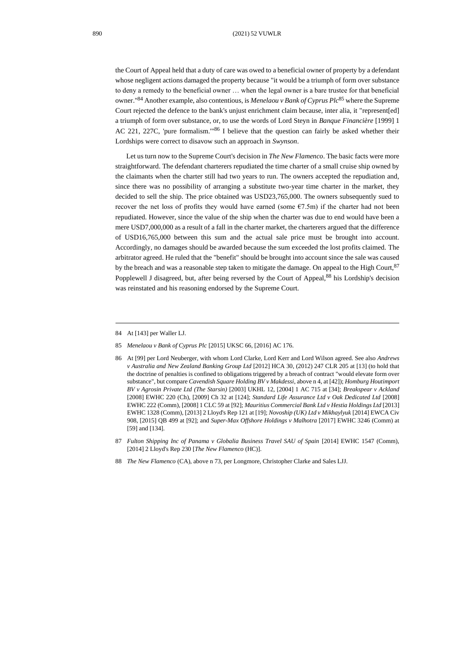the Court of Appeal held that a duty of care was owed to a beneficial owner of property by a defendant whose negligent actions damaged the property because "it would be a triumph of form over substance to deny a remedy to the beneficial owner … when the legal owner is a bare trustee for that beneficial owner." <sup>84</sup> Another example, also contentious, is *Menelaou v Bank of Cyprus Plc*<sup>85</sup> where the Supreme Court rejected the defence to the bank's unjust enrichment claim because, inter alia, it "represent[ed] a triumph of form over substance, or, to use the words of Lord Steyn in *Banque Financière* [1999] 1 AC 221, 227C, 'pure formalism."<sup>86</sup> I believe that the question can fairly be asked whether their Lordships were correct to disavow such an approach in *Swynson*.

Let us turn now to the Supreme Court's decision in *The New Flamenco*. The basic facts were more straightforward. The defendant charterers repudiated the time charter of a small cruise ship owned by the claimants when the charter still had two years to run. The owners accepted the repudiation and, since there was no possibility of arranging a substitute two-year time charter in the market, they decided to sell the ship. The price obtained was USD23,765,000. The owners subsequently sued to recover the net loss of profits they would have earned (some  $E7.5m$ ) if the charter had not been repudiated. However, since the value of the ship when the charter was due to end would have been a mere USD7,000,000 as a result of a fall in the charter market, the charterers argued that the difference of USD16,765,000 between this sum and the actual sale price must be brought into account. Accordingly, no damages should be awarded because the sum exceeded the lost profits claimed. The arbitrator agreed. He ruled that the "benefit" should be brought into account since the sale was caused by the breach and was a reasonable step taken to mitigate the damage. On appeal to the High Court,  $87$ Popplewell J disagreed, but, after being reversed by the Court of Appeal,<sup>88</sup> his Lordship's decision was reinstated and his reasoning endorsed by the Supreme Court.

<span id="page-15-0"></span><sup>84</sup> At [143] per Waller LJ.

<sup>85</sup> *Menelaou v Bank of Cyprus Plc* [2015] UKSC 66, [2016] AC 176.

<sup>86</sup> At [99] per Lord Neuberger, with whom Lord Clarke, Lord Kerr and Lord Wilson agreed. See also *Andrews v Australia and New Zealand Banking Group Ltd* [2012] HCA 30*,* (2012) 247 CLR 205 at [13] (to hold that the doctrine of penalties is confined to obligations triggered by a breach of contract "would elevate form over substance", but compare *Cavendish Square Holding BV v Makdessi*, above n [4,](#page-0-1) at [42]); *Homburg Houtimport BV v Agrosin Private Ltd (The Starsin)* [2003] UKHL 12, [2004] 1 AC 715 at [34]; *Breakspear v Ackland*  [2008] EWHC 220 (Ch), [2009] Ch 32 at [124]; *Standard Life Assurance Ltd v Oak Dedicated Ltd* [2008] EWHC 222 (Comm), [2008] 1 CLC 59 at [92]; *Mauritius Commercial Bank Ltd v Hestia Holdings Ltd* [2013] EWHC 1328 (Comm), [2013] 2 Lloyd's Rep 121 at [19]; *Novoship (UK) Ltd v Mikhaylyuk* [2014] EWCA Civ 908, [2015] QB 499 at [92]; and *Super-Max Offshore Holdings v Malhotra* [2017] EWHC 3246 (Comm) at [59] and [134].

<sup>87</sup> Fulton Shipping Inc of Panama v Globalia Business Travel SAU of Spain [2014] EWHC 1547 (Comm), [2014] 2 Lloyd's Rep 230 [*The New Flamenco* (HC)].

<sup>88</sup> *The New Flamenco* (CA), above [n 73,](#page-12-0) per Longmore, Christopher Clarke and Sales LJJ.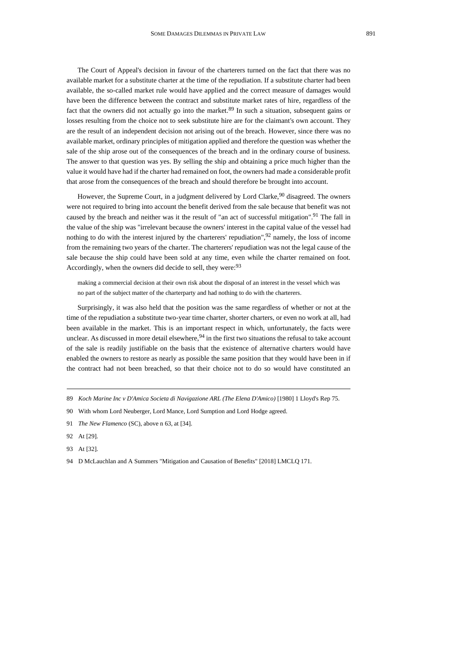The Court of Appeal's decision in favour of the charterers turned on the fact that there was no available market for a substitute charter at the time of the repudiation. If a substitute charter had been available, the so-called market rule would have applied and the correct measure of damages would have been the difference between the contract and substitute market rates of hire, regardless of the fact that the owners did not actually go into the market. $89$  In such a situation, subsequent gains or losses resulting from the choice not to seek substitute hire are for the claimant's own account. They are the result of an independent decision not arising out of the breach. However, since there was no available market, ordinary principles of mitigation applied and therefore the question was whether the sale of the ship arose out of the consequences of the breach and in the ordinary course of business. The answer to that question was yes. By selling the ship and obtaining a price much higher than the value it would have had if the charter had remained on foot, the owners had made a considerable profit that arose from the consequences of the breach and should therefore be brought into account.

However, the Supreme Court, in a judgment delivered by Lord Clarke,  $90$  disagreed. The owners were not required to bring into account the benefit derived from the sale because that benefit was not caused by the breach and neither was it the result of "an act of successful mitigation".<sup>91</sup> The fall in the value of the ship was "irrelevant because the owners' interest in the capital value of the vessel had nothing to do with the interest injured by the charterers' repudiation", $92$  namely, the loss of income from the remaining two years of the charter. The charterers' repudiation was not the legal cause of the sale because the ship could have been sold at any time, even while the charter remained on foot. Accordingly, when the owners did decide to sell, they were: 93

<span id="page-16-0"></span>making a commercial decision at their own risk about the disposal of an interest in the vessel which was no part of the subject matter of the charterparty and had nothing to do with the charterers.

Surprisingly, it was also held that the position was the same regardless of whether or not at the time of the repudiation a substitute two-year time charter, shorter charters, or even no work at all, had been available in the market. This is an important respect in which, unfortunately, the facts were unclear. As discussed in more detail elsewhere,  $94$  in the first two situations the refusal to take account of the sale is readily justifiable on the basis that the existence of alternative charters would have enabled the owners to restore as nearly as possible the same position that they would have been in if the contract had not been breached, so that their choice not to do so would have constituted an

<sup>89</sup> *Koch Marine Inc v D'Amica Societa di Navigazione ARL (The Elena D'Amico)* [1980] 1 Lloyd's Rep 75.

<sup>90</sup> With whom Lord Neuberger, Lord Mance, Lord Sumption and Lord Hodge agreed.

<sup>91</sup> *The New Flamenco* (SC), above [n 63,](#page-10-2) at [34].

<sup>92</sup> At [29].

<sup>93</sup> At [32].

<sup>94</sup> D McLauchlan and A Summers "Mitigation and Causation of Benefits" [2018] LMCLQ 171.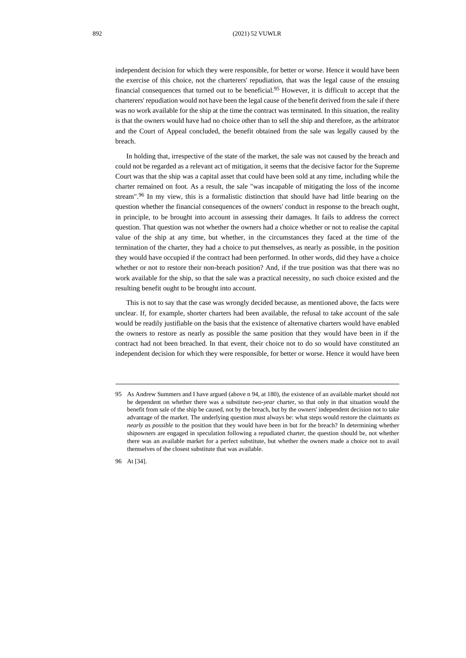independent decision for which they were responsible, for better or worse. Hence it would have been the exercise of this choice, not the charterers' repudiation, that was the legal cause of the ensuing financial consequences that turned out to be beneficial.<sup>95</sup> However, it is difficult to accept that the charterers' repudiation would not have been the legal cause of the benefit derived from the sale if there was no work available for the ship at the time the contract was terminated. In this situation, the reality is that the owners would have had no choice other than to sell the ship and therefore, as the arbitrator and the Court of Appeal concluded, the benefit obtained from the sale was legally caused by the breach.

In holding that, irrespective of the state of the market, the sale was not caused by the breach and could not be regarded as a relevant act of mitigation, it seems that the decisive factor for the Supreme Court was that the ship was a capital asset that could have been sold at any time, including while the charter remained on foot. As a result, the sale "was incapable of mitigating the loss of the income stream".<sup>96</sup> In my view, this is a formalistic distinction that should have had little bearing on the question whether the financial consequences of the owners' conduct in response to the breach ought, in principle, to be brought into account in assessing their damages. It fails to address the correct question. That question was not whether the owners had a choice whether or not to realise the capital value of the ship at any time, but whether, in the circumstances they faced at the time of the termination of the charter, they had a choice to put themselves, as nearly as possible, in the position they would have occupied if the contract had been performed. In other words, did they have a choice whether or not to restore their non-breach position? And, if the true position was that there was no work available for the ship, so that the sale was a practical necessity, no such choice existed and the resulting benefit ought to be brought into account.

This is not to say that the case was wrongly decided because, as mentioned above, the facts were unclear. If, for example, shorter charters had been available, the refusal to take account of the sale would be readily justifiable on the basis that the existence of alternative charters would have enabled the owners to restore as nearly as possible the same position that they would have been in if the contract had not been breached. In that event, their choice not to do so would have constituted an independent decision for which they were responsible, for better or worse. Hence it would have been

96 At [34].

<sup>95</sup> As Andrew Summers and I have argued (above n [94,](#page-16-0) at 180), the existence of an available market should not be dependent on whether there was a substitute *two-year* charter, so that only in that situation would the benefit from sale of the ship be caused, not by the breach, but by the owners' independent decision not to take advantage of the market. The underlying question must always be: what steps would restore the claimants *as nearly as possible* to the position that they would have been in but for the breach? In determining whether shipowners are engaged in speculation following a repudiated charter, the question should be, not whether there was an available market for a perfect substitute, but whether the owners made a choice not to avail themselves of the closest substitute that was available.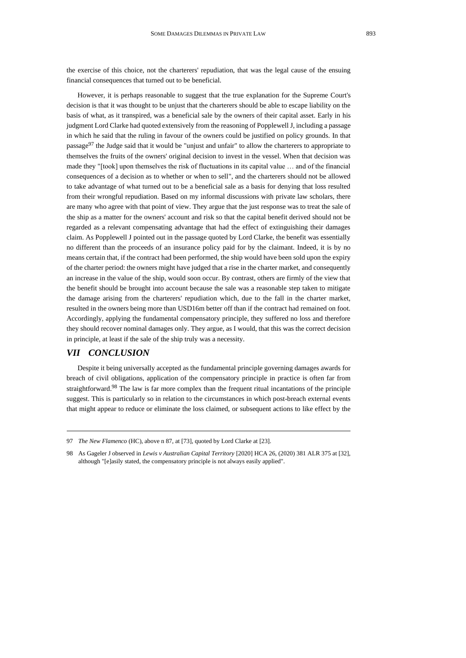the exercise of this choice, not the charterers' repudiation, that was the legal cause of the ensuing financial consequences that turned out to be beneficial.

However, it is perhaps reasonable to suggest that the true explanation for the Supreme Court's decision is that it was thought to be unjust that the charterers should be able to escape liability on the basis of what, as it transpired, was a beneficial sale by the owners of their capital asset. Early in his judgment Lord Clarke had quoted extensively from the reasoning of Popplewell J, including a passage in which he said that the ruling in favour of the owners could be justified on policy grounds. In that passage<sup>97</sup> the Judge said that it would be "unjust and unfair" to allow the charterers to appropriate to themselves the fruits of the owners' original decision to invest in the vessel. When that decision was made they "[took] upon themselves the risk of fluctuations in its capital value … and of the financial consequences of a decision as to whether or when to sell", and the charterers should not be allowed to take advantage of what turned out to be a beneficial sale as a basis for denying that loss resulted from their wrongful repudiation. Based on my informal discussions with private law scholars, there are many who agree with that point of view. They argue that the just response was to treat the sale of the ship as a matter for the owners' account and risk so that the capital benefit derived should not be regarded as a relevant compensating advantage that had the effect of extinguishing their damages claim. As Popplewell J pointed out in the passage quoted by Lord Clarke, the benefit was essentially no different than the proceeds of an insurance policy paid for by the claimant. Indeed, it is by no means certain that, if the contract had been performed, the ship would have been sold upon the expiry of the charter period: the owners might have judged that a rise in the charter market, and consequently an increase in the value of the ship, would soon occur. By contrast, others are firmly of the view that the benefit should be brought into account because the sale was a reasonable step taken to mitigate the damage arising from the charterers' repudiation which, due to the fall in the charter market, resulted in the owners being more than USD16m better off than if the contract had remained on foot. Accordingly, applying the fundamental compensatory principle, they suffered no loss and therefore they should recover nominal damages only. They argue, as I would, that this was the correct decision in principle, at least if the sale of the ship truly was a necessity.

#### *VII CONCLUSION*

Despite it being universally accepted as the fundamental principle governing damages awards for breach of civil obligations, application of the compensatory principle in practice is often far from straightforward.<sup>98</sup> The law is far more complex than the frequent ritual incantations of the principle suggest. This is particularly so in relation to the circumstances in which post-breach external events that might appear to reduce or eliminate the loss claimed, or subsequent actions to like effect by the

<sup>97</sup> *The New Flamenco* (HC), above n [87,](#page-15-0) at [73], quoted by Lord Clarke at [23].

<sup>98</sup> As Gageler J observed in *Lewis v Australian Capital Territory* [2020] HCA 26, (2020) 381 ALR 375 at [32], although "[e]asily stated, the compensatory principle is not always easily applied".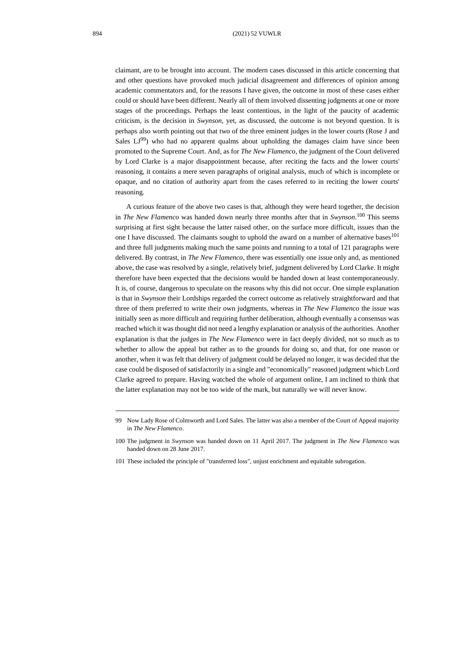claimant, are to be brought into account. The modern cases discussed in this article concerning that and other questions have provoked much judicial disagreement and differences of opinion among academic commentators and, for the reasons I have given, the outcome in most of these cases either could or should have been different. Nearly all of them involved dissenting judgments at one or more stages of the proceedings. Perhaps the least contentious, in the light of the paucity of academic criticism, is the decision in *Swynson*, yet, as discussed, the outcome is not beyond question. It is perhaps also worth pointing out that two of the three eminent judges in the lower courts (Rose J and Sales  $LJ^{99}$ ) who had no apparent qualms about upholding the damages claim have since been promoted to the Supreme Court. And, as for *The New Flamenco*, the judgment of the Court delivered by Lord Clarke is a major disappointment because, after reciting the facts and the lower courts' reasoning, it contains a mere seven paragraphs of original analysis, much of which is incomplete or opaque, and no citation of authority apart from the cases referred to in reciting the lower courts' reasoning.

A curious feature of the above two cases is that, although they were heard together, the decision in *The New Flamenco* was handed down nearly three months after that in *Swynson*. <sup>100</sup> This seems surprising at first sight because the latter raised other, on the surface more difficult, issues than the one I have discussed. The claimants sought to uphold the award on a number of alternative bases<sup>101</sup> and three full judgments making much the same points and running to a total of 121 paragraphs were delivered. By contrast, in *The New Flamenco*, there was essentially one issue only and, as mentioned above, the case was resolved by a single, relatively brief, judgment delivered by Lord Clarke. It might therefore have been expected that the decisions would be handed down at least contemporaneously. It is, of course, dangerous to speculate on the reasons why this did not occur. One simple explanation is that in *Swynson* their Lordships regarded the correct outcome as relatively straightforward and that three of them preferred to write their own judgments, whereas in *The New Flamenco* the issue was initially seen as more difficult and requiring further deliberation, although eventually a consensus was reached which it was thought did not need a lengthy explanation or analysis of the authorities. Another explanation is that the judges in *The New Flamenco* were in fact deeply divided, not so much as to whether to allow the appeal but rather as to the grounds for doing so, and that, for one reason or another, when it was felt that delivery of judgment could be delayed no longer, it was decided that the case could be disposed of satisfactorily in a single and "economically" reasoned judgment which Lord Clarke agreed to prepare. Having watched the whole of argument online, I am inclined to think that the latter explanation may not be too wide of the mark, but naturally we will never know.

<sup>99</sup> No[w Lady Rose of Colmworth](https://en.wikipedia.org/wiki/Vivien_Rose) and Lord Sales. The latter was also a member of the Court of Appeal majority in *The New Flamenco*.

<sup>100</sup> The judgment in *Swynson* was handed down on 11 April 2017. The judgment in *The New Flamenco* was handed down on 28 June 2017.

<sup>101</sup> These included the principle of "transferred loss", unjust enrichment and equitable subrogation.